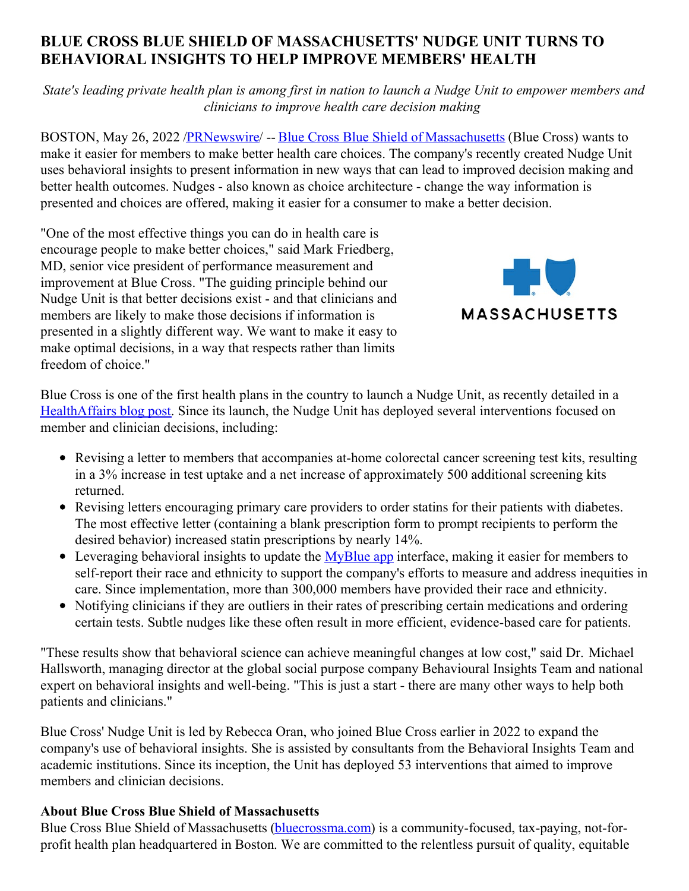## **BLUE CROSS BLUE SHIELD OF MASSACHUSETTS' NUDGE UNIT TURNS TO BEHAVIORAL INSIGHTS TO HELP IMPROVE MEMBERS' HEALTH**

State's leading private health plan is among first in nation to launch a Nudge Unit to empower members and *clinicians to improve health care decision making*

BOSTON, May 26, 2022 [/PRNewswire](http://www.prnewswire.com/)/ -- Blue Cross Blue Shield of [Massachusetts](https://c212.net/c/link/?t=0&l=en&o=3548425-1&h=2767250813&u=http%3A%2F%2Fwww.bluecrossma.com%2F%3Ffrom%3DBWHomeHeaderBanner&a=Blue+Cross+Blue+Shield+of+Massachusetts) (Blue Cross) wants to make it easier for members to make better health care choices. The company's recently created Nudge Unit uses behavioral insights to present information in new ways that can lead to improved decision making and better health outcomes. Nudges - also known as choice architecture - change the way information is presented and choices are offered, making it easier for a consumer to make a better decision.

"One of the most effective things you can do in health care is encourage people to make better choices," said Mark Friedberg, MD, senior vice president of performance measurement and improvement at Blue Cross. "The guiding principle behind our Nudge Unit is that better decisions exist - and that clinicians and members are likely to make those decisions if information is presented in a slightly different way. We want to make it easy to make optimal decisions, in a way that respects rather than limits freedom of choice."



Blue Cross is one of the first health plans in the country to launch a Nudge Unit, as recently detailed in a [HealthAffairs](https://c212.net/c/link/?t=0&l=en&o=3548425-1&h=3916964058&u=https%3A%2F%2Fwww.healthaffairs.org%2Fdo%2F10.1377%2Fforefront.20220520.237283&a=HealthAffairs+blog+post) blog post. Since its launch, the Nudge Unit has deployed several interventions focused on member and clinician decisions, including:

- Revising a letter to members that accompanies at-home colorectal cancer screening test kits, resulting in a 3% increase in test uptake and a net increase of approximately 500 additional screening kits returned.
- Revising letters encouraging primary care providers to order statins for their patients with diabetes. The most effective letter (containing a blank prescription form to prompt recipients to perform the desired behavior) increased statin prescriptions by nearly 14%.
- Leveraging behavioral insights to update the  $MvBlue$  app interface, making it easier for members to self-report their race and ethnicity to support the company's efforts to measure and address inequities in care. Since implementation, more than 300,000 members have provided their race and ethnicity.
- Notifying clinicians if they are outliers in their rates of prescribing certain medications and ordering certain tests. Subtle nudges like these often result in more efficient, evidence-based care for patients.

"These results show that behavioral science can achieve meaningful changes at low cost," said Dr. Michael Hallsworth, managing director at the global social purpose company Behavioural Insights Team and national expert on behavioral insights and well-being. "This is just a start - there are many other ways to help both patients and clinicians."

Blue Cross' Nudge Unit is led by Rebecca Oran, who joined Blue Cross earlier in 2022 to expand the company's use of behavioral insights. She is assisted by consultants from the Behavioral Insights Team and academic institutions. Since its inception, the Unit has deployed 53 interventions that aimed to improve members and clinician decisions.

## **About Blue Cross Blue Shield of Massachusetts**

Blue Cross Blue Shield of Massachusetts [\(bluecrossma.com](https://c212.net/c/link/?t=0&l=en&o=3548425-1&h=3598330842&u=http%3A%2F%2Fwww.bluecrossma.org%2F&a=bluecrossma.com)) is a community-focused, tax-paying, not-forprofit health plan headquartered in Boston. We are committed to the relentless pursuit of quality, equitable